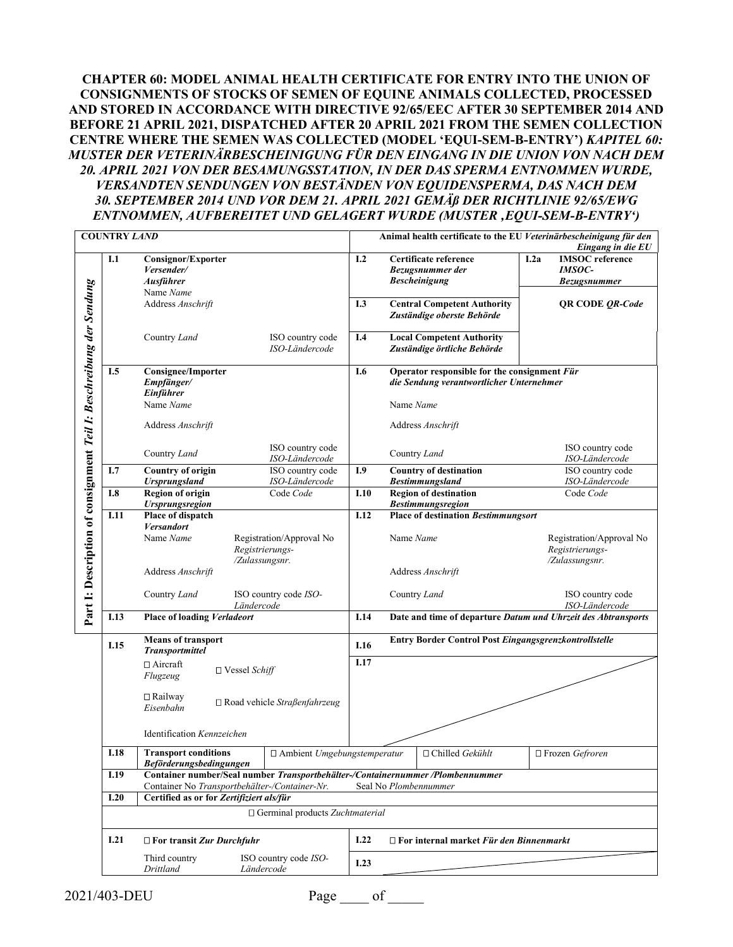**CHAPTER 60: MODEL ANIMAL HEALTH CERTIFICATE FOR ENTRY INTO THE UNION OF CONSIGNMENTS OF STOCKS OF SEMEN OF EQUINE ANIMALS COLLECTED, PROCESSED AND STORED IN ACCORDANCE WITH DIRECTIVE 92/65/EEC AFTER 30 SEPTEMBER 2014 AND BEFORE 21 APRIL 2021, DISPATCHED AFTER 20 APRIL 2021 FROM THE SEMEN COLLECTION CENTRE WHERE THE SEMEN WAS COLLECTED (MODEL 'EQUI-SEM-B-ENTRY')** *KAPITEL 60: MUSTER DER VETERINÄRBESCHEINIGUNG FÜR DEN EINGANG IN DIE UNION VON NACH DEM 20. APRIL 2021 VON DER BESAMUNGSSTATION, IN DER DAS SPERMA ENTNOMMEN WURDE, VERSANDTEN SENDUNGEN VON BESTÄNDEN VON EQUIDENSPERMA, DAS NACH DEM 30. SEPTEMBER 2014 UND VOR DEM 21. APRIL 2021 GEMÄß DER RICHTLINIE 92/65/EWG ENTNOMMEN, AUFBEREITET UND GELAGERT WURDE (MUSTER 'EQUI-SEM-B-ENTRY')*

| <b>COUNTRY LAND</b>                                                 |      |                                                                                           |                                |                                        |                                                                                                         | Animal health certificate to the EU Veterinärbescheinigung für den<br>Eingang in die EU |                                                                                          |      |                                                                |  |  |
|---------------------------------------------------------------------|------|-------------------------------------------------------------------------------------------|--------------------------------|----------------------------------------|---------------------------------------------------------------------------------------------------------|-----------------------------------------------------------------------------------------|------------------------------------------------------------------------------------------|------|----------------------------------------------------------------|--|--|
|                                                                     | I.1  | Consignor/Exporter<br>Versender/<br><b>Ausführer</b><br>Name Name<br>Address Anschrift    |                                |                                        |                                                                                                         |                                                                                         | Certificate reference<br>Bezugsnummer der<br><b>Bescheinigung</b>                        | 1.2a | <b>IMSOC</b> reference<br><b>IMSOC-</b><br><b>Bezugsnummer</b> |  |  |
|                                                                     |      |                                                                                           |                                |                                        |                                                                                                         | <b>Central Competent Authority</b><br>I.3<br>Zuständige oberste Behörde                 |                                                                                          |      | <b>QR CODE QR-Code</b>                                         |  |  |
|                                                                     |      | Country Land                                                                              |                                | ISO country code<br>ISO-Ländercode     | I.4                                                                                                     | <b>Local Competent Authority</b><br>Zuständige örtliche Behörde                         |                                                                                          |      |                                                                |  |  |
|                                                                     | I.5  | <b>Consignee/Importer</b><br>Empfänger/<br>Einführer                                      |                                |                                        | I.6                                                                                                     |                                                                                         | Operator responsible for the consignment Für<br>die Sendung verantwortlicher Unternehmer |      |                                                                |  |  |
|                                                                     |      | Name Name                                                                                 |                                |                                        |                                                                                                         | Name Name                                                                               |                                                                                          |      |                                                                |  |  |
|                                                                     |      | Address Anschrift                                                                         |                                |                                        |                                                                                                         | Address Anschrift                                                                       |                                                                                          |      |                                                                |  |  |
|                                                                     |      | Country Land                                                                              |                                | ISO country code<br>ISO-Ländercode     |                                                                                                         |                                                                                         | Country Land                                                                             |      | ISO country code<br>ISO-Ländercode                             |  |  |
|                                                                     | I.7  | <b>Country of origin</b><br><b>Ursprungsland</b>                                          |                                | ISO country code<br>ISO-Ländercode     | I.9                                                                                                     |                                                                                         | Country of destination<br><b>Bestimmungsland</b>                                         |      | ISO country code<br>ISO-Ländercode                             |  |  |
|                                                                     | I.8  | <b>Region of origin</b><br><b>Ursprungsregion</b>                                         |                                | Code Code                              | I.10                                                                                                    |                                                                                         | <b>Region of destination</b><br><b>Bestimmungsregion</b>                                 |      | Code Code                                                      |  |  |
| Part I: Description of consignment Teil I: Beschreibung der Sendung | I.11 | Place of dispatch                                                                         |                                | I.12                                   |                                                                                                         |                                                                                         |                                                                                          |      |                                                                |  |  |
|                                                                     |      | <b>Versandort</b><br>Name Name<br>Registrierungs-                                         |                                | Registration/Approval No               |                                                                                                         | Name Name                                                                               |                                                                                          |      | Registration/Approval No<br>Registrierungs-<br>/Zulassungsnr.  |  |  |
|                                                                     |      | /Zulassungsnr.<br>Address Anschrift                                                       |                                |                                        |                                                                                                         | Address Anschrift                                                                       |                                                                                          |      |                                                                |  |  |
|                                                                     |      | Country Land                                                                              | Ländercode                     | ISO country code ISO-                  |                                                                                                         |                                                                                         | Country Land                                                                             |      | ISO country code<br>ISO-Ländercode                             |  |  |
|                                                                     | I.13 | Place of loading Verladeort                                                               |                                |                                        | Date and time of departure Datum und Uhrzeit des Abtransports<br>I.14                                   |                                                                                         |                                                                                          |      |                                                                |  |  |
|                                                                     | I.15 | <b>Means of transport</b><br><b>Transportmittel</b>                                       |                                |                                        | Entry Border Control Post Eingangsgrenzkontrollstelle<br>I.16                                           |                                                                                         |                                                                                          |      |                                                                |  |  |
|                                                                     |      | □ Aircraft<br>Flugzeug                                                                    | $\Box$ Vessel Schiff           |                                        | I.17                                                                                                    |                                                                                         |                                                                                          |      |                                                                |  |  |
|                                                                     |      | $\Box$ Railway<br>Eisenbahn                                                               | □ Road vehicle Straßenfahrzeug |                                        |                                                                                                         |                                                                                         |                                                                                          |      |                                                                |  |  |
|                                                                     |      | Identification Kennzeichen                                                                |                                |                                        |                                                                                                         |                                                                                         |                                                                                          |      |                                                                |  |  |
|                                                                     | I.18 | <b>Transport conditions</b><br><b>Beförderungsbedingungen</b>                             |                                | □ Ambient Umgebungstemperatur          |                                                                                                         |                                                                                         | $\Box$ Chilled Gekühlt                                                                   |      | □ Frozen Gefroren                                              |  |  |
|                                                                     | I.19 |                                                                                           |                                |                                        | Container number/Seal number Transportbehälter-/Containernummer /Plombennummer<br>Seal No Plombennummer |                                                                                         |                                                                                          |      |                                                                |  |  |
|                                                                     | I.20 | Container No Transportbehälter-/Container-Nr.<br>Certified as or for Zertifiziert als/für |                                |                                        |                                                                                                         |                                                                                         |                                                                                          |      |                                                                |  |  |
|                                                                     |      |                                                                                           |                                | $\Box$ Germinal products Zuchtmaterial |                                                                                                         |                                                                                         |                                                                                          |      |                                                                |  |  |
|                                                                     | I.21 | $\Box$ For transit Zur Durchfuhr                                                          |                                |                                        | I.22                                                                                                    |                                                                                         | $\Box$ For internal market Für den Binnenmarkt                                           |      |                                                                |  |  |
|                                                                     |      | Third country<br>ISO country code ISO-<br>Drittland<br>Ländercode                         |                                |                                        |                                                                                                         |                                                                                         |                                                                                          |      |                                                                |  |  |

2021/403-DEU Page of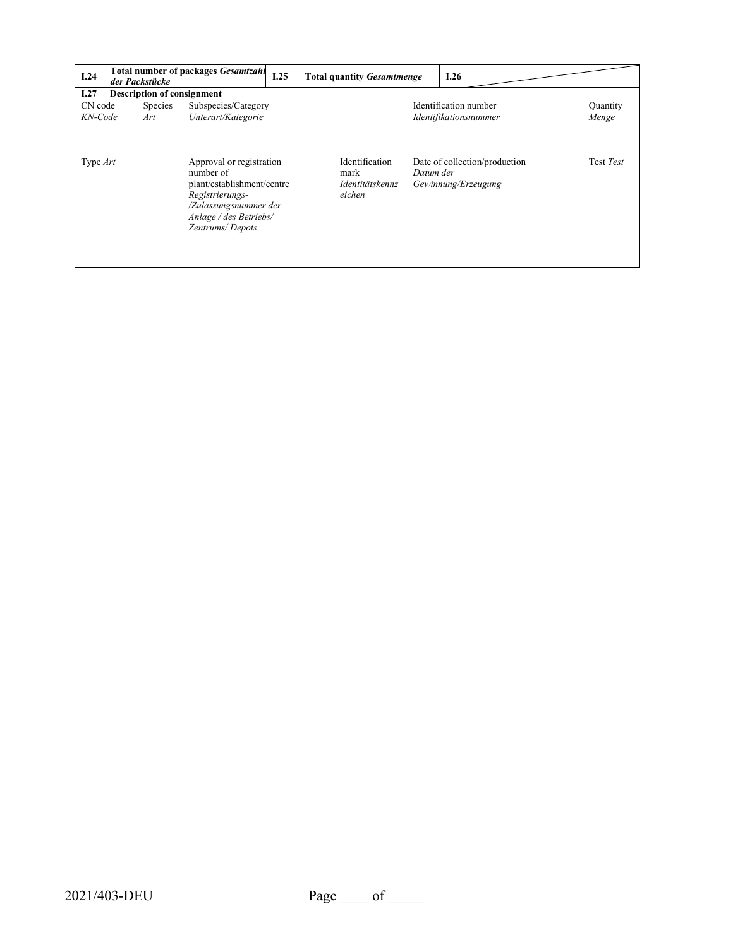| 1.24       | der Packstücke | <b>Total number of packages Gesamtzahl</b>                                                                                                                   | I.25 | <b>Total quantity Gesamtmenge</b>                   |           | I.26                                                 |           |
|------------|----------------|--------------------------------------------------------------------------------------------------------------------------------------------------------------|------|-----------------------------------------------------|-----------|------------------------------------------------------|-----------|
| I.27       |                | <b>Description of consignment</b>                                                                                                                            |      |                                                     |           |                                                      |           |
| CN code    | <b>Species</b> | Subspecies/Category                                                                                                                                          |      |                                                     |           | Identification number                                | Quantity  |
| KN-Code    | Art            | Unterart/Kategorie                                                                                                                                           |      |                                                     |           | Identifikationsnummer                                | Menge     |
| Type $Art$ |                | Approval or registration<br>number of<br>plant/establishment/centre<br>Registrierungs-<br>/Zulassungsnummer der<br>Anlage / des Betriebs/<br>Zentrums/Depots |      | Identification<br>mark<br>Identitätskennz<br>eichen | Datum der | Date of collection/production<br>Gewinnung/Erzeugung | Test Test |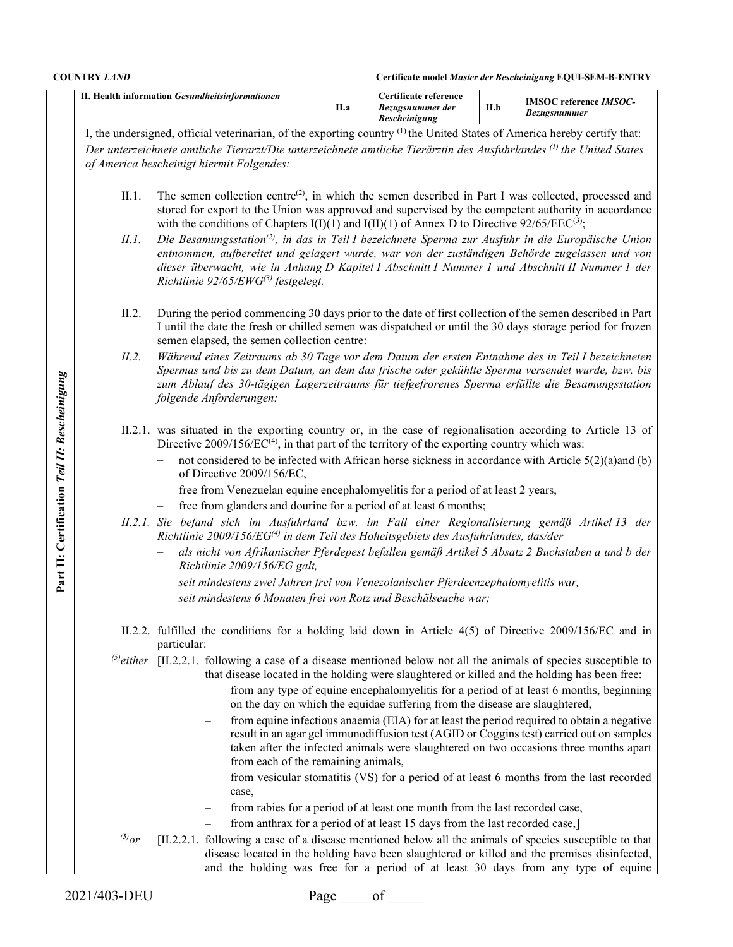**COUNTRY** *LAND* **Certificate model** *Muster der Bescheinigung* **EQUI-SEM-B-ENTRY**

|                                               |                                                                                                                                      | II. Health information Gesundheitsinformationen                                                                                                                                                                                                                                                                                                                                                                                                                                                                                                                                                                                                                                               | II.a                                                                                                                                                                                               | Certificate reference<br>Bezugsnummer der<br><b>Bescheinigung</b>           | II.b | <b>IMSOC</b> reference IMSOC-<br><b>Bezugsnummer</b>                                                                                                                                                                                                                            |  |  |  |  |  |
|-----------------------------------------------|--------------------------------------------------------------------------------------------------------------------------------------|-----------------------------------------------------------------------------------------------------------------------------------------------------------------------------------------------------------------------------------------------------------------------------------------------------------------------------------------------------------------------------------------------------------------------------------------------------------------------------------------------------------------------------------------------------------------------------------------------------------------------------------------------------------------------------------------------|----------------------------------------------------------------------------------------------------------------------------------------------------------------------------------------------------|-----------------------------------------------------------------------------|------|---------------------------------------------------------------------------------------------------------------------------------------------------------------------------------------------------------------------------------------------------------------------------------|--|--|--|--|--|
|                                               | I, the undersigned, official veterinarian, of the exporting country <sup>(1)</sup> the United States of America hereby certify that: |                                                                                                                                                                                                                                                                                                                                                                                                                                                                                                                                                                                                                                                                                               |                                                                                                                                                                                                    |                                                                             |      |                                                                                                                                                                                                                                                                                 |  |  |  |  |  |
|                                               |                                                                                                                                      | Der unterzeichnete amtliche Tierarzt/Die unterzeichnete amtliche Tierärztin des Ausfuhrlandes <sup>(1)</sup> the United States                                                                                                                                                                                                                                                                                                                                                                                                                                                                                                                                                                |                                                                                                                                                                                                    |                                                                             |      |                                                                                                                                                                                                                                                                                 |  |  |  |  |  |
|                                               | of America bescheinigt hiermit Folgendes:                                                                                            |                                                                                                                                                                                                                                                                                                                                                                                                                                                                                                                                                                                                                                                                                               |                                                                                                                                                                                                    |                                                                             |      |                                                                                                                                                                                                                                                                                 |  |  |  |  |  |
|                                               | II.1.<br>II.1.                                                                                                                       | The semen collection centre <sup>(2)</sup> , in which the semen described in Part I was collected, processed and<br>stored for export to the Union was approved and supervised by the competent authority in accordance<br>with the conditions of Chapters I(I)(1) and I(II)(1) of Annex D to Directive 92/65/EEC(3);<br>Die Besamungsstation <sup>(2)</sup> , in das in Teil I bezeichnete Sperma zur Ausfuhr in die Europäische Union<br>entnommen, aufbereitet und gelagert wurde, war von der zuständigen Behörde zugelassen und von<br>dieser überwacht, wie in Anhang D Kapitel I Abschnitt I Nummer 1 und Abschnitt II Nummer 1 der<br>Richtlinie 92/65/EWG <sup>(3)</sup> festgelegt. |                                                                                                                                                                                                    |                                                                             |      |                                                                                                                                                                                                                                                                                 |  |  |  |  |  |
|                                               | II.2.                                                                                                                                | During the period commencing 30 days prior to the date of first collection of the semen described in Part<br>I until the date the fresh or chilled semen was dispatched or until the 30 days storage period for frozen<br>semen elapsed, the semen collection centre:                                                                                                                                                                                                                                                                                                                                                                                                                         |                                                                                                                                                                                                    |                                                                             |      |                                                                                                                                                                                                                                                                                 |  |  |  |  |  |
|                                               | II.2.                                                                                                                                | Während eines Zeitraums ab 30 Tage vor dem Datum der ersten Entnahme des in Teil I bezeichneten<br>Spermas und bis zu dem Datum, an dem das frische oder gekühlte Sperma versendet wurde, bzw. bis<br>zum Ablauf des 30-tägigen Lagerzeitraums für tiefgefrorenes Sperma erfüllte die Besamungsstation<br>folgende Anforderungen:                                                                                                                                                                                                                                                                                                                                                             |                                                                                                                                                                                                    |                                                                             |      |                                                                                                                                                                                                                                                                                 |  |  |  |  |  |
| Part II: Certification Teil II: Bescheinigung |                                                                                                                                      | II.2.1. was situated in the exporting country or, in the case of regionalisation according to Article 13 of<br>Directive $2009/156/EC^{(4)}$ , in that part of the territory of the exporting country which was:<br>not considered to be infected with African horse sickness in accordance with Article 5(2)(a)and (b)                                                                                                                                                                                                                                                                                                                                                                       |                                                                                                                                                                                                    |                                                                             |      |                                                                                                                                                                                                                                                                                 |  |  |  |  |  |
|                                               |                                                                                                                                      | of Directive 2009/156/EC,                                                                                                                                                                                                                                                                                                                                                                                                                                                                                                                                                                                                                                                                     |                                                                                                                                                                                                    |                                                                             |      |                                                                                                                                                                                                                                                                                 |  |  |  |  |  |
|                                               |                                                                                                                                      | free from Venezuelan equine encephalomyelitis for a period of at least 2 years,<br>free from glanders and dourine for a period of at least 6 months;                                                                                                                                                                                                                                                                                                                                                                                                                                                                                                                                          |                                                                                                                                                                                                    |                                                                             |      |                                                                                                                                                                                                                                                                                 |  |  |  |  |  |
|                                               |                                                                                                                                      | $\qquad \qquad -$                                                                                                                                                                                                                                                                                                                                                                                                                                                                                                                                                                                                                                                                             | II.2.1. Sie befand sich im Ausfuhrland bzw. im Fall einer Regionalisierung gemäß Artikel 13 der<br>Richtlinie 2009/156/EG <sup>(4)</sup> in dem Teil des Hoheitsgebiets des Ausfuhrlandes, das/der |                                                                             |      |                                                                                                                                                                                                                                                                                 |  |  |  |  |  |
|                                               |                                                                                                                                      | Richtlinie 2009/156/EG galt,                                                                                                                                                                                                                                                                                                                                                                                                                                                                                                                                                                                                                                                                  | als nicht von Afrikanischer Pferdepest befallen gemäß Artikel 5 Absatz 2 Buchstaben a und b der                                                                                                    |                                                                             |      |                                                                                                                                                                                                                                                                                 |  |  |  |  |  |
|                                               |                                                                                                                                      |                                                                                                                                                                                                                                                                                                                                                                                                                                                                                                                                                                                                                                                                                               | seit mindestens zwei Jahren frei von Venezolanischer Pferdeenzephalomyelitis war,                                                                                                                  |                                                                             |      |                                                                                                                                                                                                                                                                                 |  |  |  |  |  |
|                                               |                                                                                                                                      |                                                                                                                                                                                                                                                                                                                                                                                                                                                                                                                                                                                                                                                                                               | seit mindestens 6 Monaten frei von Rotz und Beschälseuche war;                                                                                                                                     |                                                                             |      |                                                                                                                                                                                                                                                                                 |  |  |  |  |  |
|                                               |                                                                                                                                      | II.2.2. fulfilled the conditions for a holding laid down in Article 4(5) of Directive 2009/156/EC and in<br>particular:                                                                                                                                                                                                                                                                                                                                                                                                                                                                                                                                                                       |                                                                                                                                                                                                    |                                                                             |      |                                                                                                                                                                                                                                                                                 |  |  |  |  |  |
|                                               |                                                                                                                                      | <sup>(5)</sup> either [II.2.2.1. following a case of a disease mentioned below not all the animals of species susceptible to                                                                                                                                                                                                                                                                                                                                                                                                                                                                                                                                                                  |                                                                                                                                                                                                    |                                                                             |      | that disease located in the holding were slaughtered or killed and the holding has been free:                                                                                                                                                                                   |  |  |  |  |  |
|                                               |                                                                                                                                      |                                                                                                                                                                                                                                                                                                                                                                                                                                                                                                                                                                                                                                                                                               |                                                                                                                                                                                                    | on the day on which the equidae suffering from the disease are slaughtered, |      | from any type of equine encephalomyelitis for a period of at least 6 months, beginning                                                                                                                                                                                          |  |  |  |  |  |
|                                               |                                                                                                                                      | from each of the remaining animals,                                                                                                                                                                                                                                                                                                                                                                                                                                                                                                                                                                                                                                                           |                                                                                                                                                                                                    |                                                                             |      | from equine infectious anaemia (EIA) for at least the period required to obtain a negative<br>result in an agar gel immunodiffusion test (AGID or Coggins test) carried out on samples<br>taken after the infected animals were slaughtered on two occasions three months apart |  |  |  |  |  |
|                                               |                                                                                                                                      | case,                                                                                                                                                                                                                                                                                                                                                                                                                                                                                                                                                                                                                                                                                         |                                                                                                                                                                                                    |                                                                             |      | from vesicular stomatitis (VS) for a period of at least 6 months from the last recorded                                                                                                                                                                                         |  |  |  |  |  |
|                                               |                                                                                                                                      |                                                                                                                                                                                                                                                                                                                                                                                                                                                                                                                                                                                                                                                                                               |                                                                                                                                                                                                    | from rabies for a period of at least one month from the last recorded case, |      |                                                                                                                                                                                                                                                                                 |  |  |  |  |  |
|                                               |                                                                                                                                      |                                                                                                                                                                                                                                                                                                                                                                                                                                                                                                                                                                                                                                                                                               |                                                                                                                                                                                                    | from anthrax for a period of at least 15 days from the last recorded case,] |      |                                                                                                                                                                                                                                                                                 |  |  |  |  |  |
|                                               | $^{(5)}$ or                                                                                                                          | [II.2.2.1. following a case of a disease mentioned below all the animals of species susceptible to that                                                                                                                                                                                                                                                                                                                                                                                                                                                                                                                                                                                       |                                                                                                                                                                                                    |                                                                             |      | disease located in the holding have been slaughtered or killed and the premises disinfected,<br>and the holding was free for a period of at least 30 days from any type of equine                                                                                               |  |  |  |  |  |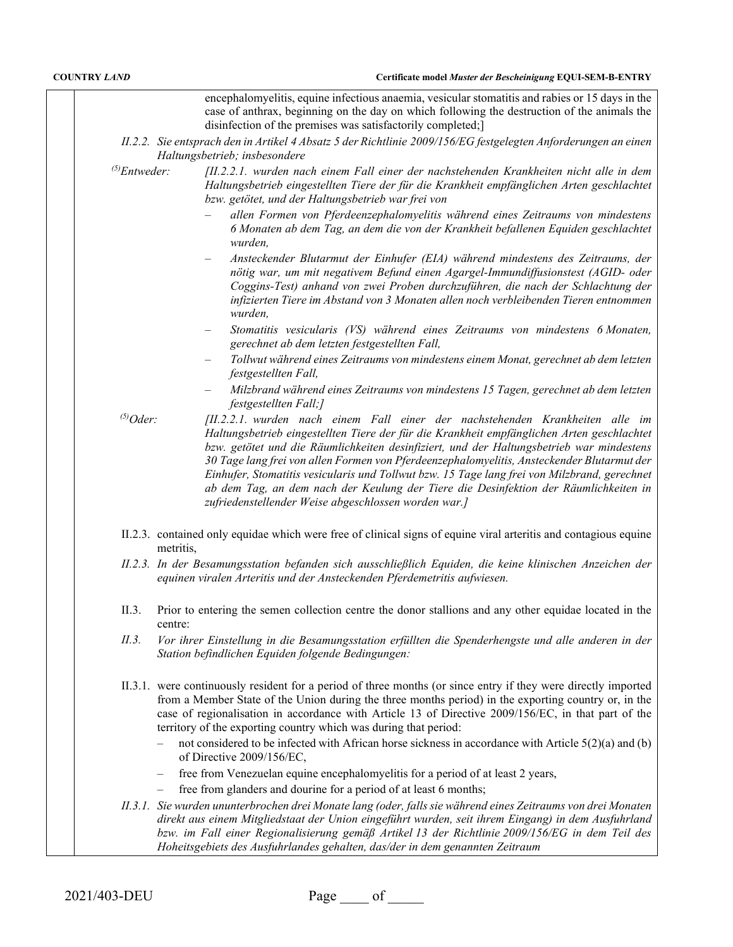|                    | encephalomyelitis, equine infectious anaemia, vesicular stomatitis and rabies or 15 days in the<br>case of anthrax, beginning on the day on which following the destruction of the animals the<br>disinfection of the premises was satisfactorily completed;                                                                                                                                                                                                                                                                                                                                                          |
|--------------------|-----------------------------------------------------------------------------------------------------------------------------------------------------------------------------------------------------------------------------------------------------------------------------------------------------------------------------------------------------------------------------------------------------------------------------------------------------------------------------------------------------------------------------------------------------------------------------------------------------------------------|
|                    | II.2.2. Sie entsprach den in Artikel 4 Absatz 5 der Richtlinie 2009/156/EG festgelegten Anforderungen an einen<br>Haltungsbetrieb; insbesondere                                                                                                                                                                                                                                                                                                                                                                                                                                                                       |
| $^{(5)}$ Entweder: | [II.2.2.1. wurden nach einem Fall einer der nachstehenden Krankheiten nicht alle in dem<br>Haltungsbetrieb eingestellten Tiere der für die Krankheit empfänglichen Arten geschlachtet<br>bzw. getötet, und der Haltungsbetrieb war frei von                                                                                                                                                                                                                                                                                                                                                                           |
|                    | allen Formen von Pferdeenzephalomyelitis während eines Zeitraums von mindestens<br>6 Monaten ab dem Tag, an dem die von der Krankheit befallenen Equiden geschlachtet<br>wurden,                                                                                                                                                                                                                                                                                                                                                                                                                                      |
|                    | Ansteckender Blutarmut der Einhufer (EIA) während mindestens des Zeitraums, der<br>nötig war, um mit negativem Befund einen Agargel-Immundiffusionstest (AGID- oder<br>Coggins-Test) anhand von zwei Proben durchzuführen, die nach der Schlachtung der<br>infizierten Tiere im Abstand von 3 Monaten allen noch verbleibenden Tieren entnommen<br>wurden,                                                                                                                                                                                                                                                            |
|                    | Stomatitis vesicularis (VS) während eines Zeitraums von mindestens 6 Monaten,<br>gerechnet ab dem letzten festgestellten Fall,                                                                                                                                                                                                                                                                                                                                                                                                                                                                                        |
|                    | Tollwut während eines Zeitraums von mindestens einem Monat, gerechnet ab dem letzten<br>festgestellten Fall,                                                                                                                                                                                                                                                                                                                                                                                                                                                                                                          |
|                    | Milzbrand während eines Zeitraums von mindestens 15 Tagen, gerechnet ab dem letzten<br>festgestellten Fall;]                                                                                                                                                                                                                                                                                                                                                                                                                                                                                                          |
| $^{(5)}Oder$ :     | [II.2.2.1. wurden nach einem Fall einer der nachstehenden Krankheiten alle im<br>Haltungsbetrieb eingestellten Tiere der für die Krankheit empfänglichen Arten geschlachtet<br>bzw. getötet und die Räumlichkeiten desinfiziert, und der Haltungsbetrieb war mindestens<br>30 Tage lang frei von allen Formen von Pferdeenzephalomyelitis, Ansteckender Blutarmut der<br>Einhufer, Stomatitis vesicularis und Tollwut bzw. 15 Tage lang frei von Milzbrand, gerechnet<br>ab dem Tag, an dem nach der Keulung der Tiere die Desinfektion der Räumlichkeiten in<br>zufriedenstellender Weise abgeschlossen worden war.] |
|                    | II.2.3. contained only equidae which were free of clinical signs of equine viral arteritis and contagious equine<br>metritis,                                                                                                                                                                                                                                                                                                                                                                                                                                                                                         |
|                    | II.2.3. In der Besamungsstation befanden sich ausschließlich Equiden, die keine klinischen Anzeichen der<br>equinen viralen Arteritis und der Ansteckenden Pferdemetritis aufwiesen.                                                                                                                                                                                                                                                                                                                                                                                                                                  |
| II.3.              | Prior to entering the semen collection centre the donor stallions and any other equidae located in the                                                                                                                                                                                                                                                                                                                                                                                                                                                                                                                |
| II.3.              | Vor ihrer Einstellung in die Besamungsstation erfüllten die Spenderhengste und alle anderen in der<br>Station befindlichen Equiden folgende Bedingungen:                                                                                                                                                                                                                                                                                                                                                                                                                                                              |
|                    | II.3.1. were continuously resident for a period of three months (or since entry if they were directly imported<br>from a Member State of the Union during the three months period) in the exporting country or, in the<br>case of regionalisation in accordance with Article 13 of Directive 2009/156/EC, in that part of the<br>territory of the exporting country which was during that period:                                                                                                                                                                                                                     |
|                    | not considered to be infected with African horse sickness in accordance with Article 5(2)(a) and (b)<br>of Directive 2009/156/EC,                                                                                                                                                                                                                                                                                                                                                                                                                                                                                     |
|                    | free from Venezuelan equine encephalomyelitis for a period of at least 2 years,                                                                                                                                                                                                                                                                                                                                                                                                                                                                                                                                       |
|                    | free from glanders and dourine for a period of at least 6 months;                                                                                                                                                                                                                                                                                                                                                                                                                                                                                                                                                     |
|                    | II.3.1. Sie wurden ununterbrochen drei Monate lang (oder, falls sie während eines Zeitraums von drei Monaten<br>direkt aus einem Mitgliedstaat der Union eingeführt wurden, seit ihrem Eingang) in dem Ausfuhrland<br>bzw. im Fall einer Regionalisierung gemäß Artikel 13 der Richtlinie 2009/156/EG in dem Teil des<br>Hoheitsgebiets des Ausfuhrlandes gehalten, das/der in dem genannten Zeitraum                                                                                                                                                                                                                 |
|                    |                                                                                                                                                                                                                                                                                                                                                                                                                                                                                                                                                                                                                       |

2021/403-DEU Page of Page of 2021/403-DEU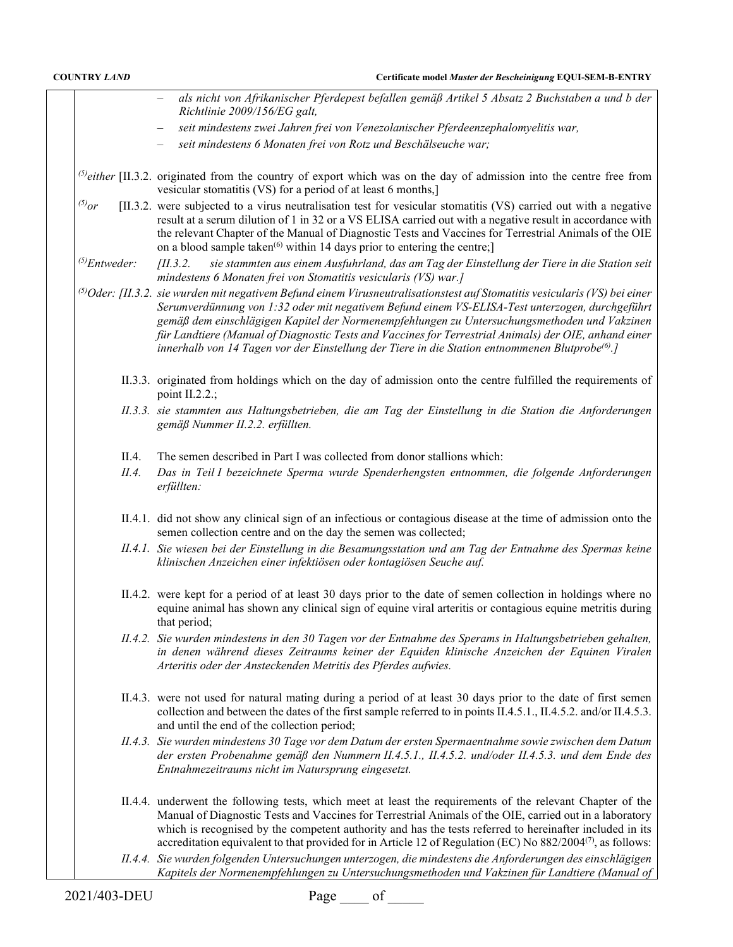|             | seit mindestens zwei Jahren frei von Venezolanischer Pferdeenzephalomyelitis war,<br>seit mindestens 6 Monaten frei von Rotz und Beschälseuche war;                                                                                                                                                                                     |
|-------------|-----------------------------------------------------------------------------------------------------------------------------------------------------------------------------------------------------------------------------------------------------------------------------------------------------------------------------------------|
|             | (s) either [II.3.2. originated from the country of export which was on the day of admission into the centre free from<br>vesicular stomatitis (VS) for a period of at least 6 months,                                                                                                                                                   |
| $^{(5)}$ or | [II.3.2. were subjected to a virus neutralisation test for vesicular stomatitis (VS) carried out with a negative<br>result at a serum dilution of 1 in 32 or a VS ELISA carried out with a negative result in accordance with<br>the relevant Chapter of the Manual of Diagnostic Tests and Vaccines for Terrestrial Animals of the OIE |

on a blood sample taken<sup>(6)</sup> within 14 days prior to entering the centre;] *(5)Entweder: [II.3.2. sie stammten aus einem Ausfuhrland, das am Tag der Einstellung der Tiere in die Station seit mindestens 6 Monaten frei von Stomatitis vesicularis (VS) war.]*

*‒ als nicht von Afrikanischer Pferdepest befallen gemäß Artikel 5 Absatz 2 Buchstaben a und b der* 

*(5)Oder: [II.3.2. sie wurden mit negativem Befund einem Virusneutralisationstest auf Stomatitis vesicularis (VS) bei einer Serumverdünnung von 1:32 oder mit negativem Befund einem VS-ELISA-Test unterzogen, durchgeführt gemäß dem einschlägigen Kapitel der Normenempfehlungen zu Untersuchungsmethoden und Vakzinen für Landtiere (Manual of Diagnostic Tests and Vaccines for Terrestrial Animals) der OIE, anhand einer innerhalb von 14 Tagen vor der Einstellung der Tiere in die Station entnommenen Blutprobe(6).]*

- II.3.3. originated from holdings which on the day of admission onto the centre fulfilled the requirements of point II.2.2.;
- *II.3.3. sie stammten aus Haltungsbetrieben, die am Tag der Einstellung in die Station die Anforderungen gemäß Nummer II.2.2. erfüllten.*
- II.4. The semen described in Part I was collected from donor stallions which:

*Richtlinie 2009/156/EG galt,*

- *II.4. Das in Teil I bezeichnete Sperma wurde Spenderhengsten entnommen, die folgende Anforderungen erfüllten:*
- II.4.1. did not show any clinical sign of an infectious or contagious disease at the time of admission onto the semen collection centre and on the day the semen was collected;
- *II.4.1. Sie wiesen bei der Einstellung in die Besamungsstation und am Tag der Entnahme des Spermas keine klinischen Anzeichen einer infektiösen oder kontagiösen Seuche auf.*
- II.4.2. were kept for a period of at least 30 days prior to the date of semen collection in holdings where no equine animal has shown any clinical sign of equine viral arteritis or contagious equine metritis during that period;
- *II.4.2. Sie wurden mindestens in den 30 Tagen vor der Entnahme des Sperams in Haltungsbetrieben gehalten, in denen während dieses Zeitraums keiner der Equiden klinische Anzeichen der Equinen Viralen Arteritis oder der Ansteckenden Metritis des Pferdes aufwies.*
- II.4.3. were not used for natural mating during a period of at least 30 days prior to the date of first semen collection and between the dates of the first sample referred to in points II.4.5.1., II.4.5.2. and/or II.4.5.3. and until the end of the collection period;
- *II.4.3. Sie wurden mindestens 30 Tage vor dem Datum der ersten Spermaentnahme sowie zwischen dem Datum der ersten Probenahme gemäß den Nummern II.4.5.1., II.4.5.2. und/oder II.4.5.3. und dem Ende des Entnahmezeitraums nicht im Natursprung eingesetzt.*
- II.4.4. underwent the following tests, which meet at least the requirements of the relevant Chapter of the Manual of Diagnostic Tests and Vaccines for Terrestrial Animals of the OIE, carried out in a laboratory which is recognised by the competent authority and has the tests referred to hereinafter included in its accreditation equivalent to that provided for in Article 12 of Regulation (EC) No 882/2004<sup>(7)</sup>, as follows:
- *II.4.4. Sie wurden folgenden Untersuchungen unterzogen, die mindestens die Anforderungen des einschlägigen Kapitels der Normenempfehlungen zu Untersuchungsmethoden und Vakzinen für Landtiere (Manual of*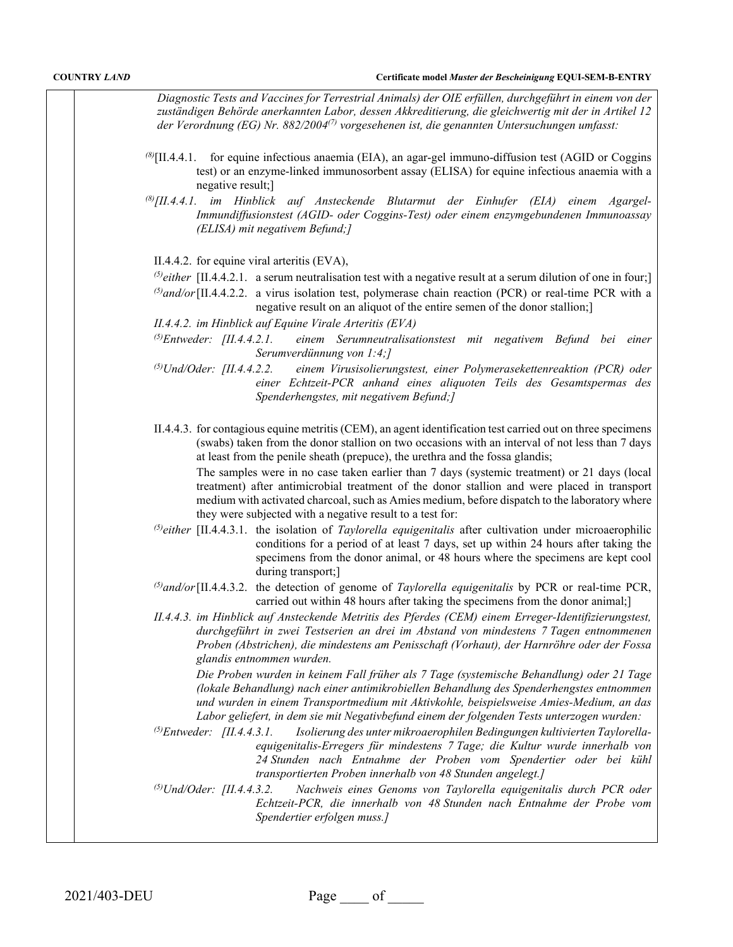*Diagnostic Tests and Vaccines for Terrestrial Animals) der OIE erfüllen, durchgeführt in einem von der zuständigen Behörde anerkannten Labor, dessen Akkreditierung, die gleichwertig mit der in Artikel 12 der Verordnung (EG) Nr. 882/2004(7) vorgesehenen ist, die genannten Untersuchungen umfasst:*

- *(8)*[II.4.4.1. for equine infectious anaemia (EIA), an agar-gel immuno-diffusion test (AGID or Coggins test) or an enzyme-linked immunosorbent assay (ELISA) for equine infectious anaemia with a negative result;]
- *(8)[II.4.4.1. im Hinblick auf Ansteckende Blutarmut der Einhufer (EIA) einem Agargel-Immundiffusionstest (AGID- oder Coggins-Test) oder einem enzymgebundenen Immunoassay (ELISA) mit negativem Befund;]*

II.4.4.2. for equine viral arteritis (EVA),

 $\beta$ either [II.4.4.2.1. a serum neutralisation test with a negative result at a serum dilution of one in four;

*(5)and/or*[II.4.4.2.2. a virus isolation test, polymerase chain reaction (PCR) or real-time PCR with a negative result on an aliquot of the entire semen of the donor stallion;]

*II.4.4.2. im Hinblick auf Equine Virale Arteritis (EVA)*

- *(5)Entweder: [II.4.4.2.1. einem Serumneutralisationstest mit negativem Befund bei einer Serumverdünnung von 1:4;]*
- *(5)Und/Oder: [II.4.4.2.2. einem Virusisolierungstest, einer Polymerasekettenreaktion (PCR) oder einer Echtzeit-PCR anhand eines aliquoten Teils des Gesamtspermas des Spenderhengstes, mit negativem Befund;]*
- II.4.4.3. for contagious equine metritis (CEM), an agent identification test carried out on three specimens (swabs) taken from the donor stallion on two occasions with an interval of not less than 7 days at least from the penile sheath (prepuce), the urethra and the fossa glandis;

The samples were in no case taken earlier than 7 days (systemic treatment) or 21 days (local treatment) after antimicrobial treatment of the donor stallion and were placed in transport medium with activated charcoal, such as Amies medium, before dispatch to the laboratory where they were subjected with a negative result to a test for:

- *(5)either* [II.4.4.3.1. the isolation of *Taylorella equigenitalis* after cultivation under microaerophilic conditions for a period of at least 7 days, set up within 24 hours after taking the specimens from the donor animal, or 48 hours where the specimens are kept cool during transport;]
- *(5)and/or*[II.4.4.3.2. the detection of genome of *Taylorella equigenitalis* by PCR or real-time PCR, carried out within 48 hours after taking the specimens from the donor animal;]
- *II.4.4.3. im Hinblick auf Ansteckende Metritis des Pferdes (CEM) einem Erreger-Identifizierungstest, durchgeführt in zwei Testserien an drei im Abstand von mindestens 7 Tagen entnommenen Proben (Abstrichen), die mindestens am Penisschaft (Vorhaut), der Harnröhre oder der Fossa glandis entnommen wurden.*

*Die Proben wurden in keinem Fall früher als 7 Tage (systemische Behandlung) oder 21 Tage (lokale Behandlung) nach einer antimikrobiellen Behandlung des Spenderhengstes entnommen und wurden in einem Transportmedium mit Aktivkohle, beispielsweise Amies-Medium, an das Labor geliefert, in dem sie mit Negativbefund einem der folgenden Tests unterzogen wurden:*

- *(5)Entweder: [II.4.4.3.1. Isolierung des unter mikroaerophilen Bedingungen kultivierten Taylorellaequigenitalis-Erregers für mindestens 7 Tage; die Kultur wurde innerhalb von 24 Stunden nach Entnahme der Proben vom Spendertier oder bei kühl transportierten Proben innerhalb von 48 Stunden angelegt.]*
- *(5)Und/Oder: [II.4.4.3.2. Nachweis eines Genoms von Taylorella equigenitalis durch PCR oder Echtzeit-PCR, die innerhalb von 48 Stunden nach Entnahme der Probe vom Spendertier erfolgen muss.]*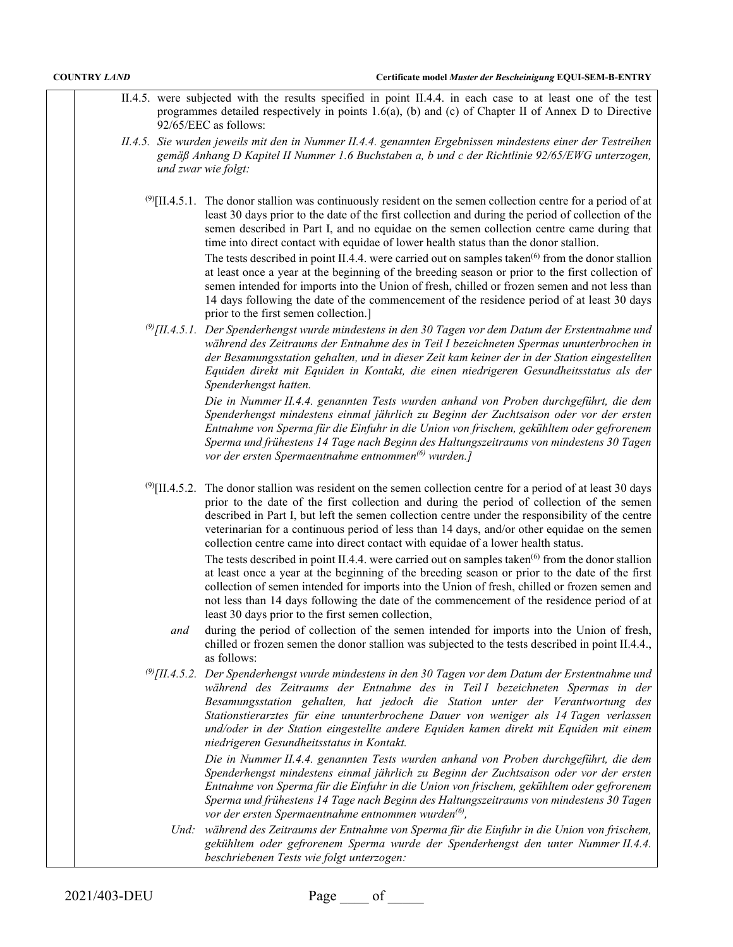| <b>COUNTRY LAND</b> | Certificate model Muster der Bescheinigung EQUI-SEM-B-ENTRY                                                                                                                                                                                                                                                                                                                                                                                                                                                                                                                                                                                                                                                                                                                                                                                                                                                                                                                                            |
|---------------------|--------------------------------------------------------------------------------------------------------------------------------------------------------------------------------------------------------------------------------------------------------------------------------------------------------------------------------------------------------------------------------------------------------------------------------------------------------------------------------------------------------------------------------------------------------------------------------------------------------------------------------------------------------------------------------------------------------------------------------------------------------------------------------------------------------------------------------------------------------------------------------------------------------------------------------------------------------------------------------------------------------|
|                     | II.4.5. were subjected with the results specified in point II.4.4. in each case to at least one of the test<br>programmes detailed respectively in points $1.6(a)$ , (b) and (c) of Chapter II of Annex D to Directive<br>92/65/EEC as follows:                                                                                                                                                                                                                                                                                                                                                                                                                                                                                                                                                                                                                                                                                                                                                        |
|                     | II.4.5. Sie wurden jeweils mit den in Nummer II.4.4. genannten Ergebnissen mindestens einer der Testreihen<br>gemäß Anhang D Kapitel II Nummer 1.6 Buchstaben a, b und c der Richtlinie 92/65/EWG unterzogen,<br>und zwar wie folgt:                                                                                                                                                                                                                                                                                                                                                                                                                                                                                                                                                                                                                                                                                                                                                                   |
|                     | $\frac{(9)}{(11.4.5.1)}$ . The donor stallion was continuously resident on the semen collection centre for a period of at<br>least 30 days prior to the date of the first collection and during the period of collection of the<br>semen described in Part I, and no equidae on the semen collection centre came during that<br>time into direct contact with equidae of lower health status than the donor stallion.<br>The tests described in point II.4.4. were carried out on samples taken <sup>(6)</sup> from the donor stallion<br>at least once a year at the beginning of the breeding season or prior to the first collection of<br>semen intended for imports into the Union of fresh, chilled or frozen semen and not less than<br>14 days following the date of the commencement of the residence period of at least 30 days<br>prior to the first semen collection.]                                                                                                                     |
|                     | $\frac{\textcircled{}}{\textcircled{}}$ [II.4.5.1. Der Spenderhengst wurde mindestens in den 30 Tagen vor dem Datum der Erstentnahme und<br>während des Zeitraums der Entnahme des in Teil I bezeichneten Spermas ununterbrochen in<br>der Besamungsstation gehalten, und in dieser Zeit kam keiner der in der Station eingestellten<br>Equiden direkt mit Equiden in Kontakt, die einen niedrigeren Gesundheitsstatus als der<br>Spenderhengst hatten.                                                                                                                                                                                                                                                                                                                                                                                                                                                                                                                                                |
|                     | Die in Nummer II.4.4. genannten Tests wurden anhand von Proben durchgeführt, die dem<br>Spenderhengst mindestens einmal jährlich zu Beginn der Zuchtsaison oder vor der ersten<br>Entnahme von Sperma für die Einfuhr in die Union von frischem, gekühltem oder gefrorenem<br>Sperma und frühestens 14 Tage nach Beginn des Haltungszeitraums von mindestens 30 Tagen<br>vor der ersten Spermaentnahme entnommen <sup>(6)</sup> wurden.]                                                                                                                                                                                                                                                                                                                                                                                                                                                                                                                                                               |
|                     | $\frac{\text{(9)}}{\text{(II.4.5.2}}$ . The donor stallion was resident on the semen collection centre for a period of at least 30 days<br>prior to the date of the first collection and during the period of collection of the semen<br>described in Part I, but left the semen collection centre under the responsibility of the centre<br>veterinarian for a continuous period of less than 14 days, and/or other equidae on the semen<br>collection centre came into direct contact with equidae of a lower health status.<br>The tests described in point II.4.4. were carried out on samples taken <sup>(6)</sup> from the donor stallion<br>at least once a year at the beginning of the breeding season or prior to the date of the first<br>collection of semen intended for imports into the Union of fresh, chilled or frozen semen and<br>not less than 14 days following the date of the commencement of the residence period of at<br>least 30 days prior to the first semen collection, |
|                     | during the period of collection of the semen intended for imports into the Union of fresh,<br>and<br>chilled or frozen semen the donor stallion was subjected to the tests described in point II.4.4.,<br>as follows:                                                                                                                                                                                                                                                                                                                                                                                                                                                                                                                                                                                                                                                                                                                                                                                  |
|                     | $\frac{\text{\degree O}}{\text{\degree II}}$ .4.5.2. Der Spenderhengst wurde mindestens in den 30 Tagen vor dem Datum der Erstentnahme und<br>während des Zeitraums der Entnahme des in Teil I bezeichneten Spermas in der<br>Besamungsstation gehalten, hat jedoch die Station unter der Verantwortung des<br>Stationstierarztes für eine ununterbrochene Dauer von weniger als 14 Tagen verlassen<br>und/oder in der Station eingestellte andere Equiden kamen direkt mit Equiden mit einem<br>niedrigeren Gesundheitsstatus in Kontakt.<br>Die in Nummer II.4.4. genannten Tests wurden anhand von Proben durchgeführt, die dem<br>Spenderhengst mindestens einmal jährlich zu Beginn der Zuchtsaison oder vor der ersten<br>Entnahme von Sperma für die Einfuhr in die Union von frischem, gekühltem oder gefrorenem<br>Sperma und frühestens 14 Tage nach Beginn des Haltungszeitraums von mindestens 30 Tagen                                                                                    |
|                     | vor der ersten Spermaentnahme entnommen wurden <sup>(6)</sup> ,<br>Und: während des Zeitraums der Entnahme von Sperma für die Einfuhr in die Union von frischem,<br>gekühltem oder gefrorenem Sperma wurde der Spenderhengst den unter Nummer II.4.4.<br>beschriebenen Tests wie folgt unterzogen:                                                                                                                                                                                                                                                                                                                                                                                                                                                                                                                                                                                                                                                                                                     |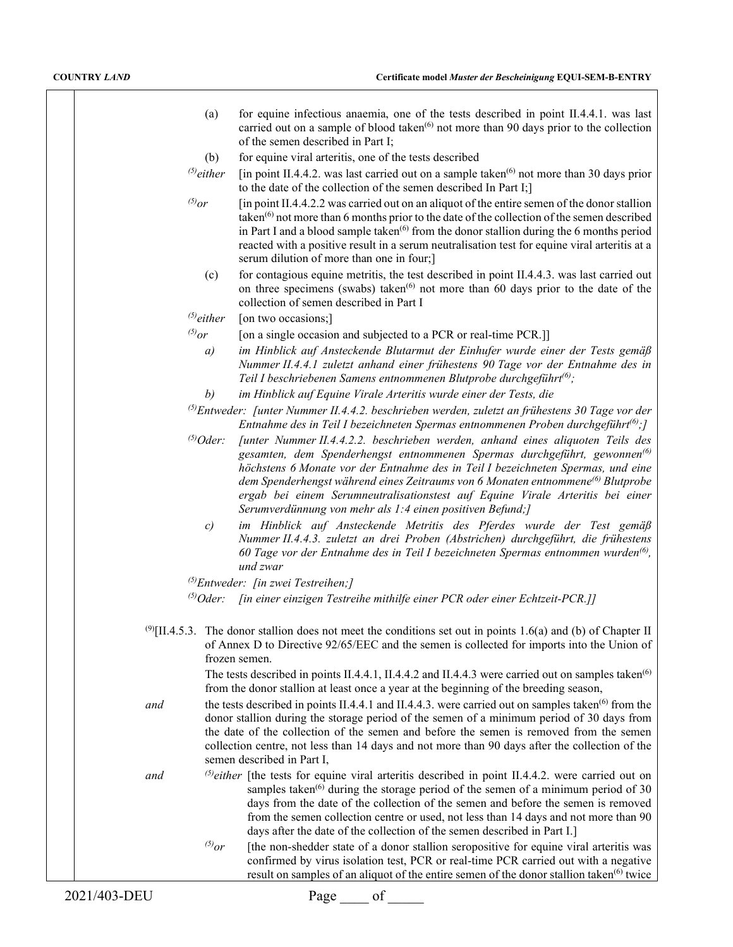| for equine infectious anaemia, one of the tests described in point II.4.4.1. was last                            |
|------------------------------------------------------------------------------------------------------------------|
| carried out on a sample of blood taken <sup><math>(6)</math></sup> not more than 90 days prior to the collection |
| of the semen described in Part I:                                                                                |

(b) for equine viral arteritis, one of the tests described

- $^{(5)}$ either [in point II.4.4.2. was last carried out on a sample taken<sup>(6)</sup> not more than 30 days prior to the date of the collection of the semen described In Part I;]
- $^{(5)}$ or [in point II.4.4.2.2 was carried out on an aliquot of the entire semen of the donor stallion taken<sup>(6)</sup> not more than 6 months prior to the date of the collection of the semen described in Part I and a blood sample taken $^{(6)}$  from the donor stallion during the 6 months period reacted with a positive result in a serum neutralisation test for equine viral arteritis at a serum dilution of more than one in four;]
	- (c) for contagious equine metritis, the test described in point II.4.4.3. was last carried out on three specimens (swabs) taken<sup> $(6)$ </sup> not more than 60 days prior to the date of the collection of semen described in Part I

*(5)either* [on two occasions;]

 $^{(5)}$ or [on a single occasion and subjected to a PCR or real-time PCR.]]

*a) im Hinblick auf Ansteckende Blutarmut der Einhufer wurde einer der Tests gemäß Nummer II.4.4.1 zuletzt anhand einer frühestens 90 Tage vor der Entnahme des in Teil I beschriebenen Samens entnommenen Blutprobe durchgeführt(6);*

*b) im Hinblick auf Equine Virale Arteritis wurde einer der Tests, die*

- *(5)Entweder: [unter Nummer II.4.4.2. beschrieben werden, zuletzt an frühestens 30 Tage vor der Entnahme des in Teil I bezeichneten Spermas entnommenen Proben durchgeführt(6);]*
- *(5)Oder: [unter Nummer II.4.4.2.2. beschrieben werden, anhand eines aliquoten Teils des gesamten, dem Spenderhengst entnommenen Spermas durchgeführt, gewonnen(6) höchstens 6 Monate vor der Entnahme des in Teil I bezeichneten Spermas, und eine dem Spenderhengst während eines Zeitraums von 6 Monaten entnommene(6) Blutprobe ergab bei einem Serumneutralisationstest auf Equine Virale Arteritis bei einer Serumverdünnung von mehr als 1:4 einen positiven Befund;]*
	- *c) im Hinblick auf Ansteckende Metritis des Pferdes wurde der Test gemäß Nummer II.4.4.3. zuletzt an drei Proben (Abstrichen) durchgeführt, die frühestens 60 Tage vor der Entnahme des in Teil I bezeichneten Spermas entnommen wurden(6), und zwar*
- *(5)Entweder: [in zwei Testreihen;]*

*(5)Oder: [in einer einzigen Testreihe mithilfe einer PCR oder einer Echtzeit-PCR.]]*

 $^{(9)}$ [II.4.5.3. The donor stallion does not meet the conditions set out in points 1.6(a) and (b) of Chapter II of Annex D to Directive 92/65/EEC and the semen is collected for imports into the Union of frozen semen.

> The tests described in points II.4.4.1, II.4.4.2 and II.4.4.3 were carried out on samples taken<sup>(6)</sup> from the donor stallion at least once a year at the beginning of the breeding season,

*and* the tests described in points II.4.4.1 and II.4.4.3. were carried out on samples taken<sup>(6)</sup> from the donor stallion during the storage period of the semen of a minimum period of 30 days from the date of the collection of the semen and before the semen is removed from the semen collection centre, not less than 14 days and not more than 90 days after the collection of the semen described in Part I,

*and (5)either* [the tests for equine viral arteritis described in point II.4.4.2. were carried out on samples taken $^{(6)}$  during the storage period of the semen of a minimum period of 30 days from the date of the collection of the semen and before the semen is removed from the semen collection centre or used, not less than 14 days and not more than 90 days after the date of the collection of the semen described in Part I.]

> $^{(5)}$ or [the non-shedder state of a donor stallion seropositive for equine viral arteritis was confirmed by virus isolation test, PCR or real-time PCR carried out with a negative result on samples of an aliquot of the entire semen of the donor stallion taken $^{(6)}$  twice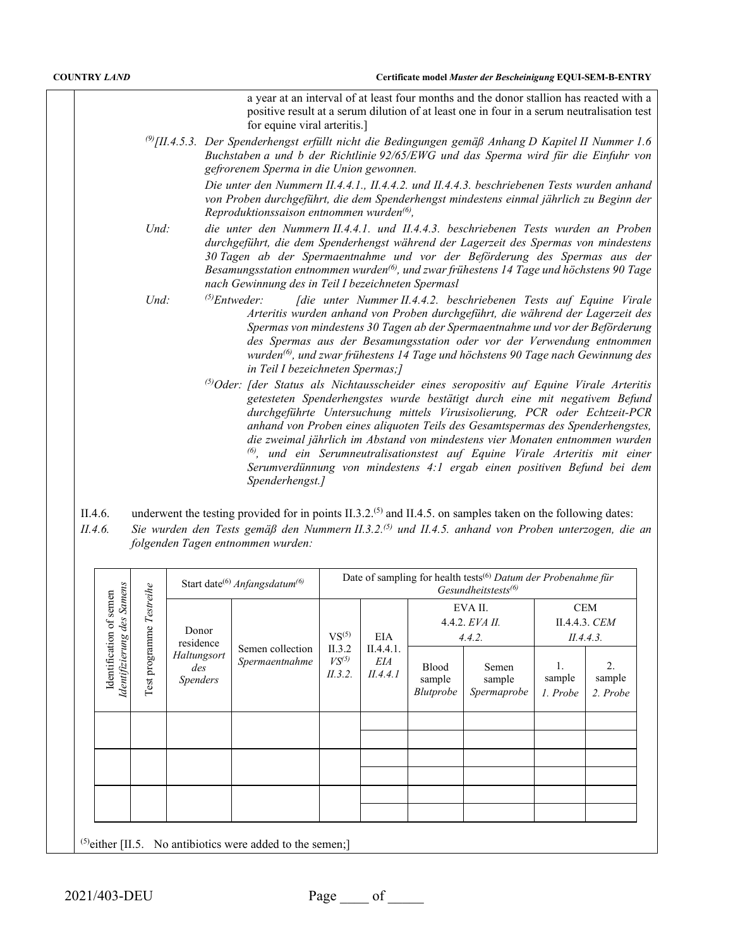a year at an interval of at least four months and the donor stallion has reacted with a positive result at a serum dilution of at least one in four in a serum neutralisation test for equine viral arteritis.]

*(9)[II.4.5.3. Der Spenderhengst erfüllt nicht die Bedingungen gemäß Anhang D Kapitel II Nummer 1.6 Buchstaben a und b der Richtlinie 92/65/EWG und das Sperma wird für die Einfuhr von gefrorenem Sperma in die Union gewonnen.*

> *Die unter den Nummern II.4.4.1., II.4.4.2. und II.4.4.3. beschriebenen Tests wurden anhand von Proben durchgeführt, die dem Spenderhengst mindestens einmal jährlich zu Beginn der Reproduktionssaison entnommen wurden(6),*

- *Und: die unter den Nummern II.4.4.1. und II.4.4.3. beschriebenen Tests wurden an Proben durchgeführt, die dem Spenderhengst während der Lagerzeit des Spermas von mindestens 30 Tagen ab der Spermaentnahme und vor der Beförderung des Spermas aus der Besamungsstation entnommen wurden(6), und zwar frühestens 14 Tage und höchstens 90 Tage nach Gewinnung des in Teil I bezeichneten Spermasl*
- *Und: (5)Entweder: [die unter Nummer II.4.4.2. beschriebenen Tests auf Equine Virale Arteritis wurden anhand von Proben durchgeführt, die während der Lagerzeit des Spermas von mindestens 30 Tagen ab der Spermaentnahme und vor der Beförderung des Spermas aus der Besamungsstation oder vor der Verwendung entnommen wurden(6), und zwar frühestens 14 Tage und höchstens 90 Tage nach Gewinnung des in Teil I bezeichneten Spermas;]*
	- *(5)Oder: [der Status als Nichtausscheider eines seropositiv auf Equine Virale Arteritis getesteten Spenderhengstes wurde bestätigt durch eine mit negativem Befund durchgeführte Untersuchung mittels Virusisolierung, PCR oder Echtzeit-PCR anhand von Proben eines aliquoten Teils des Gesamtspermas des Spenderhengstes, die zweimal jährlich im Abstand von mindestens vier Monaten entnommen wurden (6), und ein Serumneutralisationstest auf Equine Virale Arteritis mit einer Serumverdünnung von mindestens 4:1 ergab einen positiven Befund bei dem Spenderhengst.]*
- II.4.6. underwent the testing provided for in points II.3.2.<sup>(5)</sup> and II.4.5. on samples taken on the following dates:
- *II.4.6. Sie wurden den Tests gemäß den Nummern II.3.2.(5) und II.4.5. anhand von Proben unterzogen, die an folgenden Tagen entnommen wurden:*

|                                      |                |                                       | Start date <sup>(6)</sup> Anfangsdatum <sup>(6)</sup>           |                                 | Date of sampling for health tests <sup>(6)</sup> Datum der Probenahme für<br>Gesundheitstests <sup>(6)</sup> |                                |                                          |                                          |  |  |  |
|--------------------------------------|----------------|---------------------------------------|-----------------------------------------------------------------|---------------------------------|--------------------------------------------------------------------------------------------------------------|--------------------------------|------------------------------------------|------------------------------------------|--|--|--|
| des Samens<br>semen                  | Testreihe      | Donor<br>residence                    |                                                                 | $VS^{(5)}$                      | <b>EIA</b><br>II.4.4.1.<br>EIA<br><b>Blood</b><br>II.4.4.1<br>sample<br>Blutprobe                            |                                | EVA II.<br>$4.4.2$ . $EVA$ II.<br>4.4.2. | <b>CEM</b><br>II.4.4.3. CEM<br>II.4.4.3. |  |  |  |
| Identification of<br>Identifizierung | Test programme | Haltungsort<br>des<br><b>Spenders</b> | Semen collection<br>Spermaentnahme                              | II.3.2<br>$VS^{(5)}$<br>II.3.2. |                                                                                                              | Semen<br>sample<br>Spermaprobe | sample<br>1. Probe                       | 2.<br>sample<br>2. Probe                 |  |  |  |
|                                      |                |                                       |                                                                 |                                 |                                                                                                              |                                |                                          |                                          |  |  |  |
|                                      |                |                                       |                                                                 |                                 |                                                                                                              |                                |                                          |                                          |  |  |  |
|                                      |                |                                       |                                                                 |                                 |                                                                                                              |                                |                                          |                                          |  |  |  |
|                                      |                |                                       |                                                                 |                                 |                                                                                                              |                                |                                          |                                          |  |  |  |
|                                      |                |                                       | $^{(5)}$ either [II.5. No antibiotics were added to the semen;] |                                 |                                                                                                              |                                |                                          |                                          |  |  |  |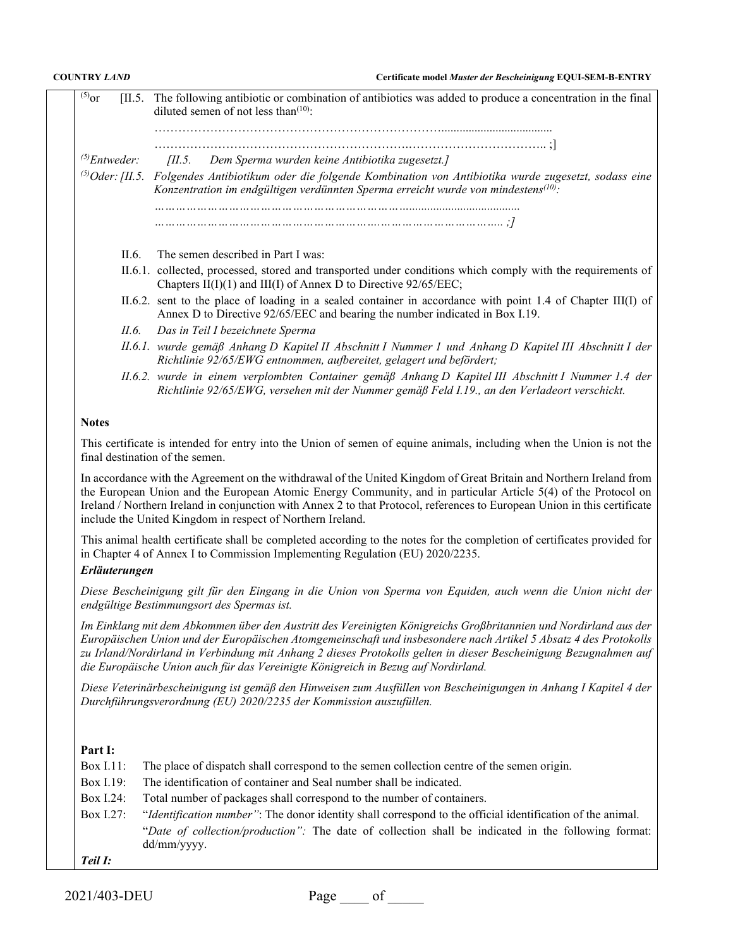$<sup>(5)</sup>$ or [II.5. The following antibiotic or combination of antibiotics was added to produce a concentration in the final</sup> diluted semen of not less than $(10)$ : ………………………………………………………………..................................... ……………………………………………………….…………………………….. ;] *(5)Entweder: [II.5. Dem Sperma wurden keine Antibiotika zugesetzt.] (5)Oder:[II.5. Folgendes Antibiotikum oder die folgende Kombination von Antibiotika wurde zugesetzt, sodass eine Konzentration im endgültigen verdünnten Sperma erreicht wurde von mindestens(10): ………………………………………………………………..................................... ……………………………………………………….…………………………….. ;]* II.6. The semen described in Part I was: II.6.1. collected, processed, stored and transported under conditions which comply with the requirements of Chapters II(I)(1) and III(I) of Annex D to Directive 92/65/EEC;

- II.6.2. sent to the place of loading in a sealed container in accordance with point 1.4 of Chapter III(I) of Annex D to Directive 92/65/EEC and bearing the number indicated in Box I.19.
- *II.6. Das in Teil I bezeichnete Sperma*
- *II.6.1. wurde gemäß Anhang D Kapitel II Abschnitt I Nummer 1 und Anhang D Kapitel III Abschnitt I der Richtlinie 92/65/EWG entnommen, aufbereitet, gelagert und befördert;*
- *II.6.2. wurde in einem verplombten Container gemäß Anhang D Kapitel III Abschnitt I Nummer 1.4 der Richtlinie 92/65/EWG, versehen mit der Nummer gemäß Feld I.19., an den Verladeort verschickt.*

### **Notes**

This certificate is intended for entry into the Union of semen of equine animals, including when the Union is not the final destination of the semen.

In accordance with the Agreement on the withdrawal of the United Kingdom of Great Britain and Northern Ireland from the European Union and the European Atomic Energy Community, and in particular Article 5(4) of the Protocol on Ireland / Northern Ireland in conjunction with Annex 2 to that Protocol, references to European Union in this certificate include the United Kingdom in respect of Northern Ireland.

This animal health certificate shall be completed according to the notes for the completion of certificates provided for in Chapter 4 of Annex I to Commission Implementing Regulation (EU) 2020/2235.

# *Erläuterungen*

*Diese Bescheinigung gilt für den Eingang in die Union von Sperma von Equiden, auch wenn die Union nicht der endgültige Bestimmungsort des Spermas ist.*

*Im Einklang mit dem Abkommen über den Austritt des Vereinigten Königreichs Großbritannien und Nordirland aus der Europäischen Union und der Europäischen Atomgemeinschaft und insbesondere nach Artikel 5 Absatz 4 des Protokolls zu Irland/Nordirland in Verbindung mit Anhang 2 dieses Protokolls gelten in dieser Bescheinigung Bezugnahmen auf die Europäische Union auch für das Vereinigte Königreich in Bezug auf Nordirland.*

*Diese Veterinärbescheinigung ist gemäß den Hinweisen zum Ausfüllen von Bescheinigungen in Anhang I Kapitel 4 der Durchführungsverordnung (EU) 2020/2235 der Kommission auszufüllen.*

# **Part I:**

- Box I.11: The place of dispatch shall correspond to the semen collection centre of the semen origin.
- Box I.19: The identification of container and Seal number shall be indicated.
- Box I.24: Total number of packages shall correspond to the number of containers.
- Box I.27: "*Identification number"*: The donor identity shall correspond to the official identification of the animal. "*Date of collection/production":* The date of collection shall be indicated in the following format: dd/mm/yyyy.
- *Teil I:*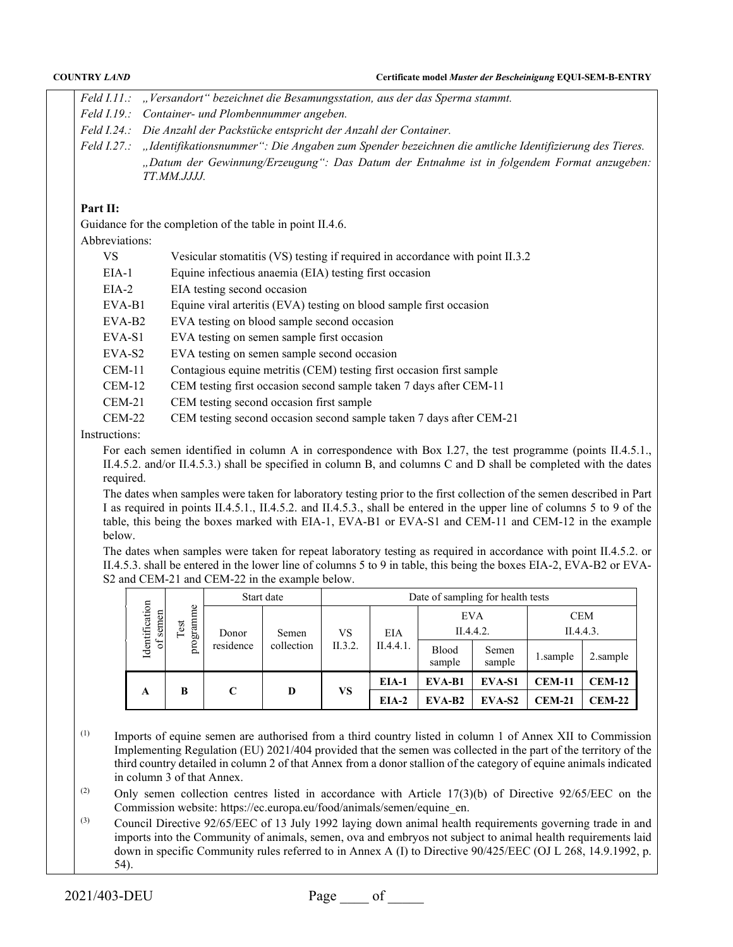| <b>COUNTRY LAND</b> | Certificate model Muster der Bescheinigung EQUI-SEM-B-ENTRY                                                                                                                                                                                                                             |
|---------------------|-----------------------------------------------------------------------------------------------------------------------------------------------------------------------------------------------------------------------------------------------------------------------------------------|
| $Field$ $I.11$ .:   | "Versandort" bezeichnet die Besamungsstation, aus der das Sperma stammt.                                                                                                                                                                                                                |
| Field I.19.         | Container- und Plombennummer angeben.                                                                                                                                                                                                                                                   |
|                     | Feld I.24.: Die Anzahl der Packstücke entspricht der Anzahl der Container.                                                                                                                                                                                                              |
| Field~I.27.:        | "Identifikationsnummer": Die Angaben zum Spender bezeichnen die amtliche Identifizierung des Tieres.                                                                                                                                                                                    |
|                     | "Datum der Gewinnung/Erzeugung": Das Datum der Entnahme ist in folgendem Format anzugeben:<br><i>TT.MM.JJJJ.</i>                                                                                                                                                                        |
| Part II:            |                                                                                                                                                                                                                                                                                         |
|                     | Guidance for the completion of the table in point II.4.6.                                                                                                                                                                                                                               |
| Abbreviations:      |                                                                                                                                                                                                                                                                                         |
| VS                  | Vesicular stomatitis (VS) testing if required in accordance with point II.3.2                                                                                                                                                                                                           |
| $EIA-1$             | Equine infectious anaemia (EIA) testing first occasion                                                                                                                                                                                                                                  |
| $EIA-2$             | EIA testing second occasion                                                                                                                                                                                                                                                             |
| EVA-B1              | Equine viral arteritis (EVA) testing on blood sample first occasion                                                                                                                                                                                                                     |
| EVA-B <sub>2</sub>  | EVA testing on blood sample second occasion                                                                                                                                                                                                                                             |
| EVA-S1              | EVA testing on semen sample first occasion                                                                                                                                                                                                                                              |
| $EVA-S2$            | EVA testing on semen sample second occasion                                                                                                                                                                                                                                             |
| $CEM-11$            | Contagious equine metritis (CEM) testing first occasion first sample                                                                                                                                                                                                                    |
| $CEM-12$            | CEM testing first occasion second sample taken 7 days after CEM-11                                                                                                                                                                                                                      |
| $CEM-21$            | CEM testing second occasion first sample                                                                                                                                                                                                                                                |
| $CEM-22$            | CEM testing second occasion second sample taken 7 days after CEM-21                                                                                                                                                                                                                     |
| Instructions:       |                                                                                                                                                                                                                                                                                         |
| required.           | For each semen identified in column A in correspondence with Box I.27, the test programme (points II.4.5.1.,<br>II.4.5.2. and/or II.4.5.3.) shall be specified in column B, and columns C and D shall be completed with the dates<br>a a storate and the storage and one of the storage |

The dates when samples were taken for laboratory testing prior to the first collection of the semen described in Part I as required in points II.4.5.1., II.4.5.2. and II.4.5.3., shall be entered in the upper line of columns 5 to 9 of the table, this being the boxes marked with EIA-1, EVA-B1 or EVA-S1 and CEM-11 and CEM-12 in the example below.

The dates when samples were taken for repeat laboratory testing as required in accordance with point II.4.5.2. or II.4.5.3. shall be entered in the lower line of columns 5 to 9 in table, this being the boxes EIA-2, EVA-B2 or EVA-S2 and CEM-21 and CEM-22 in the example below.

| Identification<br>of semen |                       |           | Start date | Date of sampling for health tests |           |                         |                 |                         |               |  |  |
|----------------------------|-----------------------|-----------|------------|-----------------------------------|-----------|-------------------------|-----------------|-------------------------|---------------|--|--|
|                            | programme<br>est<br>⊢ | Donor     | Semen      | VS                                | EIA       | <b>EVA</b><br>II.4.4.2. |                 | <b>CEM</b><br>II.4.4.3. |               |  |  |
|                            |                       | residence | collection | II.3.2.                           | II.4.4.1. | Blood<br>sample         | Semen<br>sample | 1.sample                | 2.sample      |  |  |
|                            |                       |           | D          | VS                                | EIA-1     | EVA-B1                  | EVA-S1          | $CEM-11$                | <b>CEM-12</b> |  |  |
| A                          |                       | C<br>B    |            |                                   | $EIA-2$   | $EVA-B2$                | EVA-S2          | $CEM-21$                | $CEM-22$      |  |  |

(1) Imports of equine semen are authorised from a third country listed in column 1 of Annex XII to Commission Implementing Regulation (EU) 2021/404 provided that the semen was collected in the part of the territory of the third country detailed in column 2 of that Annex from a donor stallion of the category of equine animals indicated in column 3 of that Annex.

(2) Only semen collection centres listed in accordance with Article 17(3)(b) of Directive 92/65/EEC on the Commission website: https://ec.europa.eu/food/animals/semen/equine\_en.

(3) Council Directive 92/65/EEC of 13 July 1992 laying down animal health requirements governing trade in and imports into the Community of animals, semen, ova and embryos not subject to animal health requirements laid down in specific Community rules referred to in Annex A (I) to Directive 90/425/EEC (OJ L 268, 14.9.1992, p. 54).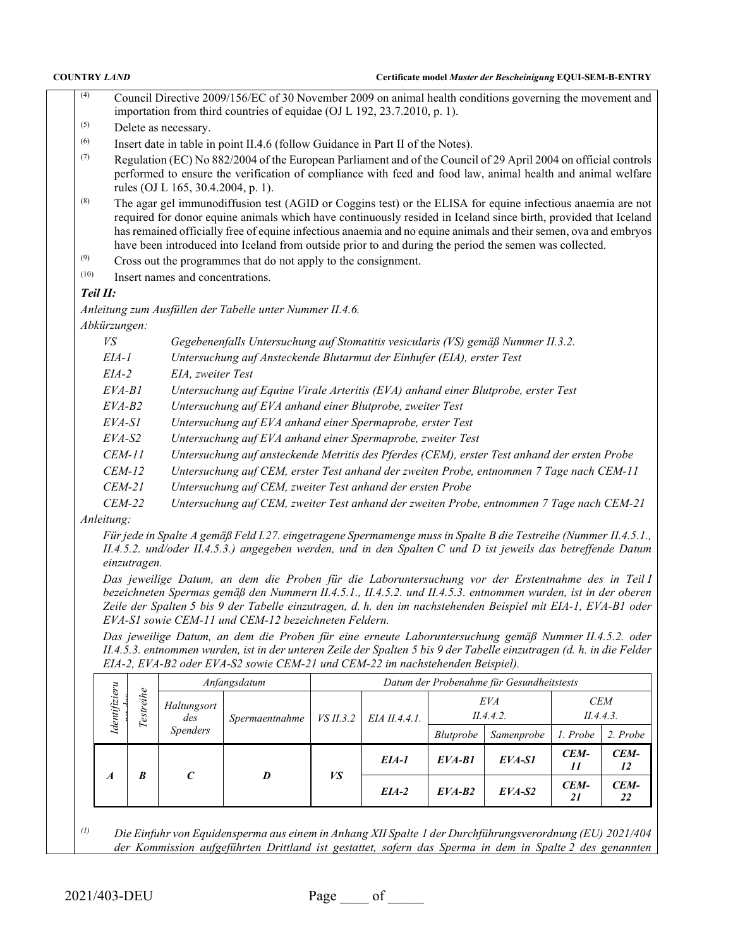- (4) Council Directive 2009/156/EC of 30 November 2009 on animal health conditions governing the movement and importation from third countries of equidae (OJ L 192, 23.7.2010, p. 1).
- (5) Delete as necessary.
- (6) Insert date in table in point II.4.6 (follow Guidance in Part II of the Notes).
- (7) Regulation (EC) No  $882/2004$  of the European Parliament and of the Council of 29 April 2004 on official controls performed to ensure the verification of compliance with feed and food law, animal health and animal welfare rules (OJ L 165, 30.4.2004, p. 1).
- (8) The agar gel immunodiffusion test (AGID or Coggins test) or the ELISA for equine infectious anaemia are not required for donor equine animals which have continuously resided in Iceland since birth, provided that Iceland has remained officially free of equine infectious anaemia and no equine animals and their semen, ova and embryos have been introduced into Iceland from outside prior to and during the period the semen was collected.
- (9) Cross out the programmes that do not apply to the consignment.
- (10) Insert names and concentrations.

# *Teil II:*

*Anleitung zum Ausfüllen der Tabelle unter Nummer II.4.6.*

*Abkürzungen:*

- *VS Gegebenenfalls Untersuchung auf Stomatitis vesicularis (VS) gemäß Nummer II.3.2.*
- *EIA-1 Untersuchung auf Ansteckende Blutarmut der Einhufer (EIA), erster Test*
- *EIA-2 EIA, zweiter Test*
- *EVA-B1 Untersuchung auf Equine Virale Arteritis (EVA) anhand einer Blutprobe, erster Test*
- *EVA-B2 Untersuchung auf EVA anhand einer Blutprobe, zweiter Test*
- *EVA-S1 Untersuchung auf EVA anhand einer Spermaprobe, erster Test*
- *EVA-S2 Untersuchung auf EVA anhand einer Spermaprobe, zweiter Test*
- *CEM-11 Untersuchung auf ansteckende Metritis des Pferdes (CEM), erster Test anhand der ersten Probe*
- *CEM-12 Untersuchung auf CEM, erster Test anhand der zweiten Probe, entnommen 7 Tage nach CEM-11*
- *CEM-21 Untersuchung auf CEM, zweiter Test anhand der ersten Probe*
- *CEM-22 Untersuchung auf CEM, zweiter Test anhand der zweiten Probe, entnommen 7 Tage nach CEM-21*

*Anleitung:*

*Für jede in Spalte A gemäß Feld I.27. eingetragene Spermamenge muss in Spalte B die Testreihe (Nummer II.4.5.1., II.4.5.2. und/oder II.4.5.3.) angegeben werden, und in den Spalten C und D ist jeweils das betreffende Datum einzutragen.*

*Das jeweilige Datum, an dem die Proben für die Laboruntersuchung vor der Erstentnahme des in Teil I bezeichneten Spermas gemäß den Nummern II.4.5.1., II.4.5.2. und II.4.5.3. entnommen wurden, ist in der oberen Zeile der Spalten 5 bis 9 der Tabelle einzutragen, d. h. den im nachstehenden Beispiel mit EIA-1, EVA-B1 oder EVA-S1 sowie CEM-11 und CEM-12 bezeichneten Feldern.*

*Das jeweilige Datum, an dem die Proben für eine erneute Laboruntersuchung gemäß Nummer II.4.5.2. oder II.4.5.3. entnommen wurden, ist in der unteren Zeile der Spalten 5 bis 9 der Tabelle einzutragen (d. h. in die Felder EIA-2, EVA-B2 oder EVA-S2 sowie CEM-21 und CEM-22 im nachstehenden Beispiel).*

| Identifizieru    | Testreihe |                    | Anfangsdatum   | Datum der Probenahme für Gesundheitstests |               |                  |            |                         |            |  |  |
|------------------|-----------|--------------------|----------------|-------------------------------------------|---------------|------------------|------------|-------------------------|------------|--|--|
|                  |           | Haltungsort<br>des | Spermaentnahme | $VS$ II.3.2                               | EIA II.4.4.1. | EVA<br>II.4.4.2. |            | <b>CEM</b><br>II.4.4.3. |            |  |  |
|                  |           | <i>Spenders</i>    |                |                                           |               | Blutprobe        | Samenprobe | 1. Probe                | 2. Probe   |  |  |
| $\boldsymbol{A}$ | B         |                    |                |                                           | EIA-1         | $EVA-B1$         | $EVA-SI$   | CEM-<br>11              | CEM-<br>12 |  |  |
|                  |           | $\epsilon$         | D              | VS                                        | $EIA-2$       | $EVA-B2$         | $EVA-S2$   | CEM-<br>21              | CEM-<br>22 |  |  |

*(1) Die Einfuhr von Equidensperma aus einem in Anhang XII Spalte 1 der Durchführungsverordnung (EU) 2021/404 der Kommission aufgeführten Drittland ist gestattet, sofern das Sperma in dem in Spalte 2 des genannten*